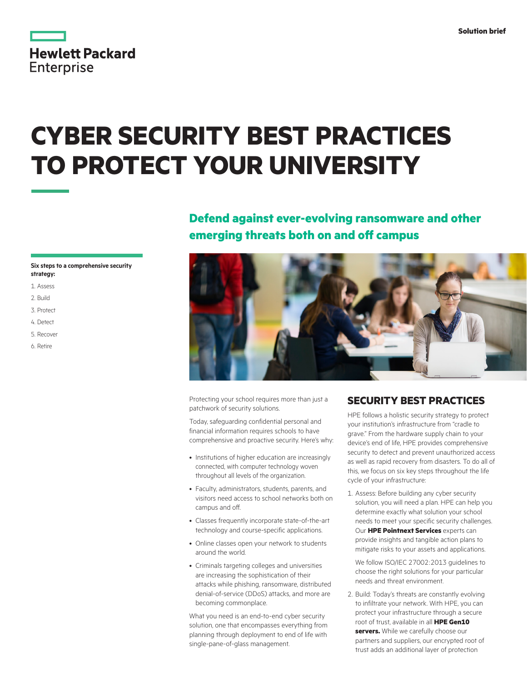|                   | <b>Hewlett Packard</b> |
|-------------------|------------------------|
| <b>Enterprise</b> |                        |

# **CYBER SECURITY BEST PRACTICES TO PROTECT YOUR UNIVERSITY**

## **Defend against ever-evolving ransomware and other emerging threats both on and off campus**

### **Six steps to a comprehensive security strategy:**

- 1. Assess
- 2. Build
- 3. Protect
- 4. Detect
- 5. Recover
- 6. Retire



Protecting your school requires more than just a patchwork of security solutions.

Today, safeguarding confidential personal and financial information requires schools to have comprehensive and proactive security. Here's why:

- Institutions of higher education are increasingly connected, with computer technology woven throughout all levels of the organization.
- Faculty, administrators, students, parents, and visitors need access to school networks both on campus and off.
- Classes frequently incorporate state-of-the-art technology and course-specific applications.
- Online classes open your network to students around the world.
- Criminals targeting colleges and universities are increasing the sophistication of their attacks while phishing, ransomware, distributed denial-of-service (DDoS) attacks, and more are becoming commonplace.

What you need is an end-to-end cyber security solution, one that encompasses everything from planning through deployment to end of life with single-pane-of-glass management.

## **SECURITY BEST PRACTICES**

HPE follows a holistic security strategy to protect your institution's infrastructure from "cradle to grave." From the hardware supply chain to your device's end of life, HPE provides comprehensive security to detect and prevent unauthorized access as well as rapid recovery from disasters. To do all of this, we focus on six key steps throughout the life cycle of your infrastructure:

1. Assess: Before building any cyber security solution, you will need a plan. HPE can help you determine exactly what solution your school needs to meet your specific security challenges. Our **HPE Pointnext Services** experts can provide insights and tangible action plans to mitigate risks to your assets and applications.

We follow ISO/IEC 27002:2013 guidelines to choose the right solutions for your particular needs and threat environment.

2. Build: Today's threats are constantly evolving to infiltrate your network. With HPE, you can protect your infrastructure through a secure root of trust, available in all **HPE Gen10 servers.** While we carefully choose our partners and suppliers, our encrypted root of trust adds an additional layer of protection